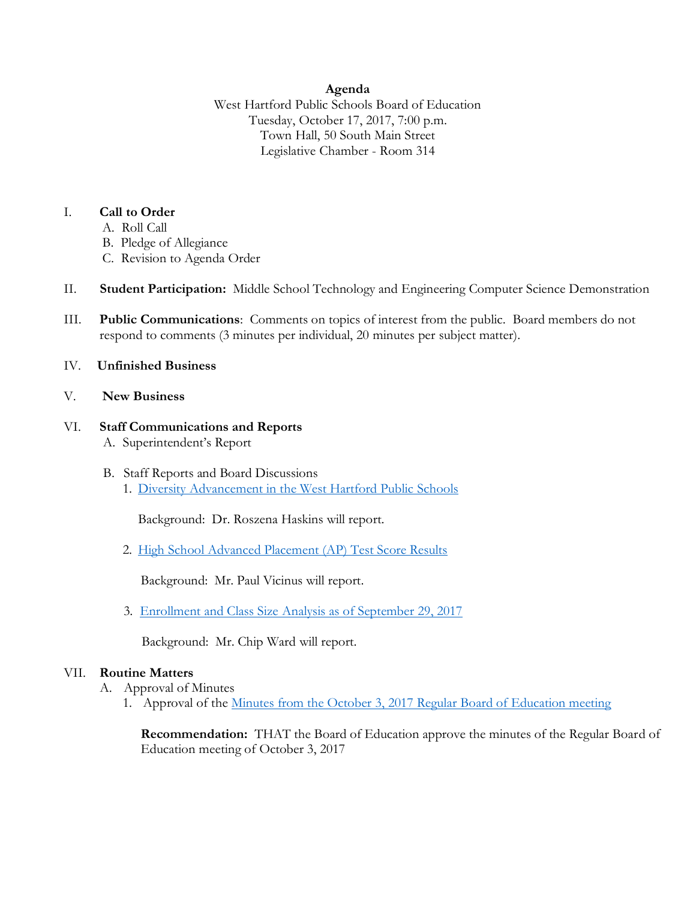## **Agenda**

West Hartford Public Schools Board of Education Tuesday, October 17, 2017, 7:00 p.m. Town Hall, 50 South Main Street Legislative Chamber - Room 314

## I. **Call to Order**

- A. Roll Call
- B. Pledge of Allegiance
- C. Revision to Agenda Order
- II. **Student Participation:** Middle School Technology and Engineering Computer Science Demonstration
- III. **Public Communications**: Comments on topics of interest from the public. Board members do not respond to comments (3 minutes per individual, 20 minutes per subject matter).
- IV. **Unfinished Business**
- V. **New Business**

### VI. **Staff Communications and Reports** A. Superintendent's Report

- B. Staff Reports and Board Discussions
	- 1. [Diversity Advancement in the West Hartford Public Schools](http://www.whps.org/uploaded/BOE/BOE_Documents/20171017/BoE_Agenda_Item-Diversity_Advancement_10-17-17_Final.pdf?1507903009466)

Background: Dr. Roszena Haskins will report.

2. [High School Advanced Placement \(AP\) Test Score Results](http://www.whps.org/uploaded/BOE/BOE_Documents/20171017/High_School_AP_results_-_2017.10.pdf?1507902991603)

Background: Mr. Paul Vicinus will report.

3. Enrollment and Class Size [Analysis as of September 29, 2017](http://www.whps.org/uploaded/BOE/BOE_Documents/20171017/Enrollment_Report_-_Oct_17,_2017.pdf?1507902976411)

Background: Mr. Chip Ward will report.

## VII. **Routine Matters**

- A. Approval of Minutes
	- 1. Approval of the [Minutes from the October 3, 2017 Regular Board of Education meeting](http://www.whps.org/uploaded/BOE/BOE_Documents/20171017/minutes_from_Oct._3,_2017.pdf?1507902961272)

**Recommendation:** THAT the Board of Education approve the minutes of the Regular Board of Education meeting of October 3, 2017